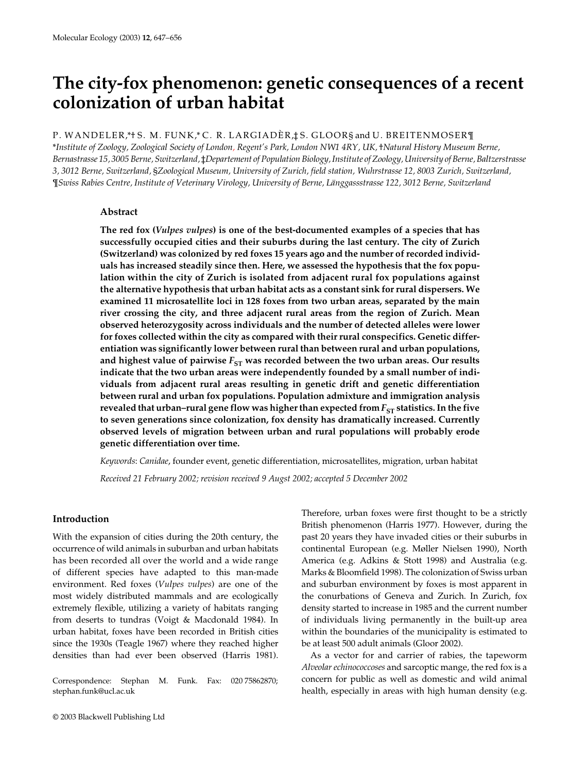# The city-fox phenomenon: genetic consequences of a recent **colonization of urban habitat**

## P. WANDELER,\*† S. M. FUNK,\* C. R. LARGIADÈR,‡ S. GLOOR§ and U. BREITENMOSER¶

\**Institute of Zoology, Zoological Society of London, Regent's Park, London NW1 4RY, UK,* †*Natural History Museum Berne, Bernastrasse 15, 3005 Berne, Switzerland,* ‡*Departement of Population Biology, Institute of Zoology, University of Berne, Baltzerstrasse 3, 3012 Berne, Switzerland,* §*Zoological Museum, University of Zurich, field station, Wuhrstrasse 12, 8003 Zurich, Switzerland,*  ¶*Swiss Rabies Centre, Institute of Veterinary Virology, University of Berne, Länggassstrasse 122, 3012 Berne, Switzerland* 

## **Abstract**

**The red fox (***Vulpes vulpes***) is one of the best-documented examples of a species that has successfully occupied cities and their suburbs during the last century. The city of Zurich (Switzerland) was colonized by red foxes 15 years ago and the number of recorded individuals has increased steadily since then. Here, we assessed the hypothesis that the fox population within the city of Zurich is isolated from adjacent rural fox populations against the alternative hypothesis that urban habitat acts as a constant sink for rural dispersers. We examined 11 microsatellite loci in 128 foxes from two urban areas, separated by the main river crossing the city, and three adjacent rural areas from the region of Zurich. Mean observed heterozygosity across individuals and the number of detected alleles were lower for foxes collected within the city as compared with their rural conspecifics. Genetic differentiation was significantly lower between rural than between rural and urban populations,** and highest value of pairwise  $F_{ST}$  was recorded between the two urban areas. Our results **indicate that the two urban areas were independently founded by a small number of individuals from adjacent rural areas resulting in genetic drift and genetic differentiation between rural and urban fox populations. Population admixture and immigration analysis** revealed that urban–rural gene flow was higher than expected from  $F_{ST}$  statistics. In the five **to seven generations since colonization, fox density has dramatically increased. Currently observed levels of migration between urban and rural populations will probably erode genetic differentiation over time.**

*Keywords*: *Canidae*, founder event, genetic differentiation, microsatellites, migration, urban habitat

*Received 21 February 2002; revision received 9 Augst 2002; accepted 5 December 2002*

#### **Introduction**

With the expansion of cities during the 20th century, the occurrence of wild animals in suburban and urban habitats has been recorded all over the world and a wide range of different species have adapted to this man-made environment. Red foxes (*Vulpes vulpes*) are one of the most widely distributed mammals and are ecologically extremely flexible, utilizing a variety of habitats ranging from deserts to tundras (Voigt & Macdonald 1984). In urban habitat, foxes have been recorded in British cities since the 1930s (Teagle 1967) where they reached higher densities than had ever been observed (Harris 1981).

Correspondence: Stephan M. Funk. Fax: 020 75862870; stephan.funk@ucl.ac.uk

© 2003 Blackwell Publishing Ltd

Therefore, urban foxes were first thought to be a strictly British phenomenon (Harris 1977). However, during the past 20 years they have invaded cities or their suburbs in continental European (e.g. Møller Nielsen 1990), North America (e.g. Adkins & Stott 1998) and Australia (e.g. Marks & Bloomfield 1998). The colonization of Swiss urban and suburban environment by foxes is most apparent in the conurbations of Geneva and Zurich. In Zurich, fox density started to increase in 1985 and the current number of individuals living permanently in the built-up area within the boundaries of the municipality is estimated to be at least 500 adult animals (Gloor 2002).

As a vector for and carrier of rabies, the tapeworm *Alveolar echinococcoses* and sarcoptic mange, the red fox is a concern for public as well as domestic and wild animal health, especially in areas with high human density (e.g.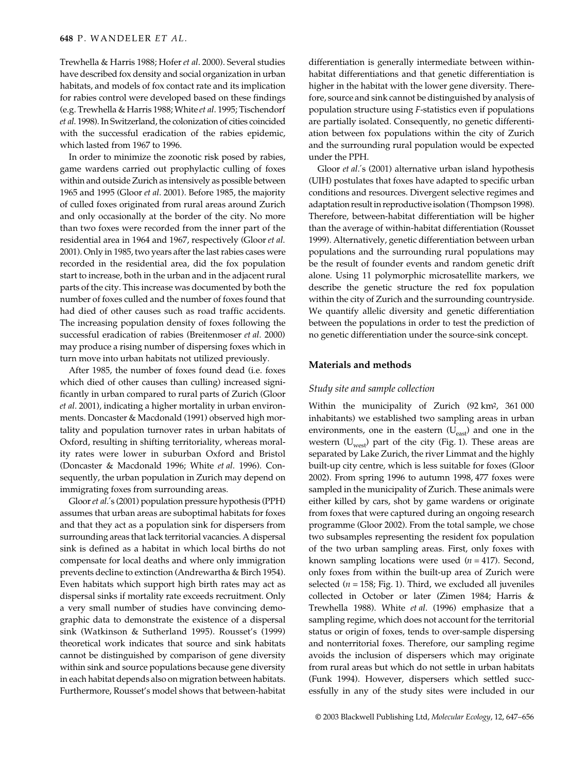Trewhella & Harris 1988; Hofer *et al*. 2000). Several studies have described fox density and social organization in urban habitats, and models of fox contact rate and its implication for rabies control were developed based on these findings (e.g. Trewhella & Harris 1988; White *et al*. 1995; Tischendorf *et al*. 1998). In Switzerland, the colonization of cities coincided with the successful eradication of the rabies epidemic, which lasted from 1967 to 1996.

In order to minimize the zoonotic risk posed by rabies, game wardens carried out prophylactic culling of foxes within and outside Zurich as intensively as possible between 1965 and 1995 (Gloor *et al*. 2001). Before 1985, the majority of culled foxes originated from rural areas around Zurich and only occasionally at the border of the city. No more than two foxes were recorded from the inner part of the residential area in 1964 and 1967, respectively (Gloor *et al*. 2001). Only in 1985, two years after the last rabies cases were recorded in the residential area, did the fox population start to increase, both in the urban and in the adjacent rural parts of the city. This increase was documented by both the number of foxes culled and the number of foxes found that had died of other causes such as road traffic accidents. The increasing population density of foxes following the successful eradication of rabies (Breitenmoser *et al*. 2000) may produce a rising number of dispersing foxes which in turn move into urban habitats not utilized previously.

After 1985, the number of foxes found dead (i.e. foxes which died of other causes than culling) increased significantly in urban compared to rural parts of Zurich (Gloor *et al*. 2001), indicating a higher mortality in urban environments. Doncaster & Macdonald (1991) observed high mortality and population turnover rates in urban habitats of Oxford, resulting in shifting territoriality, whereas morality rates were lower in suburban Oxford and Bristol (Doncaster & Macdonald 1996; White *et al*. 1996). Consequently, the urban population in Zurich may depend on immigrating foxes from surrounding areas.

Gloor *et al*.′s (2001) population pressure hypothesis (PPH) assumes that urban areas are suboptimal habitats for foxes and that they act as a population sink for dispersers from surrounding areas that lack territorial vacancies. A dispersal sink is defined as a habitat in which local births do not compensate for local deaths and where only immigration prevents decline to extinction (Andrewartha & Birch 1954). Even habitats which support high birth rates may act as dispersal sinks if mortality rate exceeds recruitment. Only a very small number of studies have convincing demographic data to demonstrate the existence of a dispersal sink (Watkinson & Sutherland 1995). Rousset's (1999) theoretical work indicates that source and sink habitats cannot be distinguished by comparison of gene diversity within sink and source populations because gene diversity in each habitat depends also on migration between habitats. Furthermore, Rousset's model shows that between-habitat differentiation is generally intermediate between withinhabitat differentiations and that genetic differentiation is higher in the habitat with the lower gene diversity. Therefore, source and sink cannot be distinguished by analysis of population structure using *F*-statistics even if populations are partially isolated. Consequently, no genetic differentiation between fox populations within the city of Zurich and the surrounding rural population would be expected under the PPH.

Gloor *et al*.′s (2001) alternative urban island hypothesis (UIH) postulates that foxes have adapted to specific urban conditions and resources. Divergent selective regimes and adaptation result in reproductive isolation (Thompson 1998). Therefore, between-habitat differentiation will be higher than the average of within-habitat differentiation (Rousset 1999). Alternatively, genetic differentiation between urban populations and the surrounding rural populations may be the result of founder events and random genetic drift alone. Using 11 polymorphic microsatellite markers, we describe the genetic structure the red fox population within the city of Zurich and the surrounding countryside. We quantify allelic diversity and genetic differentiation between the populations in order to test the prediction of no genetic differentiation under the source-sink concept.

## **Materials and methods**

#### *Study site and sample collection*

Within the municipality of Zurich (92 km2, 361 000 inhabitants) we established two sampling areas in urban environments, one in the eastern  $(U_{\text{east}})$  and one in the western  $(U_{\text{west}})$  part of the city (Fig. 1). These areas are separated by Lake Zurich, the river Limmat and the highly built-up city centre, which is less suitable for foxes (Gloor 2002). From spring 1996 to autumn 1998, 477 foxes were sampled in the municipality of Zurich. These animals were either killed by cars, shot by game wardens or originate from foxes that were captured during an ongoing research programme (Gloor 2002). From the total sample, we chose two subsamples representing the resident fox population of the two urban sampling areas. First, only foxes with known sampling locations were used (*n* = 417). Second, only foxes from within the built-up area of Zurich were selected  $(n = 158; Fig. 1)$ . Third, we excluded all juveniles collected in October or later (Zimen 1984; Harris & Trewhella 1988). White *et al*. (1996) emphasize that a sampling regime, which does not account for the territorial status or origin of foxes, tends to over-sample dispersing and nonterritorial foxes. Therefore, our sampling regime avoids the inclusion of dispersers which may originate from rural areas but which do not settle in urban habitats (Funk 1994). However, dispersers which settled successfully in any of the study sites were included in our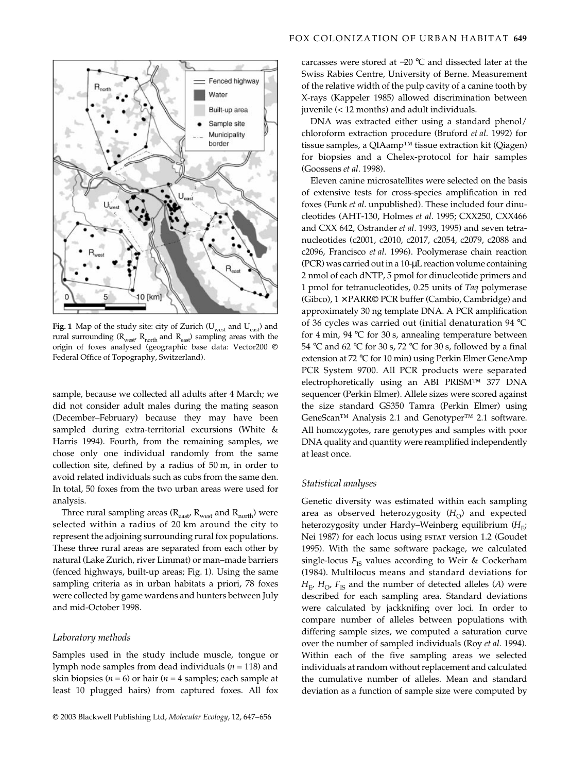

Fig. 1 Map of the study site: city of Zurich (U<sub>west</sub> and U<sub>east</sub>) and rural surrounding ( $R_{\text{west}}$ ,  $R_{\text{north}}$  and  $R_{\text{east}}$ ) sampling areas with the origin of foxes analysed (geographic base data: Vector200 © Federal Office of Topography, Switzerland).

sample, because we collected all adults after 4 March; we did not consider adult males during the mating season (December–February) because they may have been sampled during extra-territorial excursions (White & Harris 1994). Fourth, from the remaining samples, we chose only one individual randomly from the same collection site, defined by a radius of 50 m, in order to avoid related individuals such as cubs from the same den. In total, 50 foxes from the two urban areas were used for analysis.

Three rural sampling areas  $(R_{\text{east}} | R_{\text{west}})$  were selected within a radius of 20 km around the city to represent the adjoining surrounding rural fox populations. These three rural areas are separated from each other by natural (Lake Zurich, river Limmat) or man–made barriers (fenced highways, built-up areas; Fig. 1). Using the same sampling criteria as in urban habitats a priori, 78 foxes were collected by game wardens and hunters between July and mid-October 1998.

#### *Laboratory methods*

Samples used in the study include muscle, tongue or lymph node samples from dead individuals (*n* = 118) and skin biopsies ( $n = 6$ ) or hair ( $n = 4$  samples; each sample at least 10 plugged hairs) from captured foxes. All fox carcasses were stored at −20 °C and dissected later at the Swiss Rabies Centre, University of Berne. Measurement of the relative width of the pulp cavity of a canine tooth by X-rays (Kappeler 1985) allowed discrimination between juvenile (< 12 months) and adult individuals.

DNA was extracted either using a standard phenol/ chloroform extraction procedure (Bruford *et al*. 1992) for tissue samples, a QIAamp™ tissue extraction kit (Qiagen) for biopsies and a Chelex-protocol for hair samples (Goossens *et al*. 1998).

Eleven canine microsatellites were selected on the basis of extensive tests for cross-species amplification in red foxes (Funk *et al*. unpublished). These included four dinucleotides (AHT-130, Holmes *et al.* 1995; CXX250, CXX466 and CXX 642, Ostrander *et al*. 1993, 1995) and seven tetranucleotides (c2001, c2010, c2017, c2054, c2079, c2088 and c2096, Francisco *et al*. 1996). Poolymerase chain reaction (PCR) was carried out in a 10-µL reaction volume containing 2 nmol of each dNTP, 5 pmol for dinucleotide primers and 1 pmol for tetranucleotides, 0.25 units of *Taq* polymerase (Gibco), 1 × PARR© PCR buffer (Cambio, Cambridge) and approximately 30 ng template DNA. A PCR amplification of 36 cycles was carried out (initial denaturation 94 °C for 4 min, 94 °C for 30 s, annealing temperature between 54 °C and 62 °C for 30 s, 72 °C for 30 s, followed by a final extension at 72 °C for 10 min) using Perkin Elmer GeneAmp PCR System 9700. All PCR products were separated electrophoretically using an ABI PRISM™ 377 DNA sequencer (Perkin Elmer). Allele sizes were scored against the size standard GS350 Tamra (Perkin Elmer) using GeneScan™ Analysis 2.1 and Genotyper™ 2.1 software. All homozygotes, rare genotypes and samples with poor DNA quality and quantity were reamplified independently at least once.

#### *Statistical analyses*

Genetic diversity was estimated within each sampling area as observed heterozygosity  $(H<sub>O</sub>)$  and expected heterozygosity under Hardy–Weinberg equilibrium  $(H_{\rm E})$ ; Nei 1987) for each locus using fstat version 1.2 (Goudet 1995). With the same software package, we calculated single-locus  $F_{\text{IS}}$  values according to Weir & Cockerham (1984). Multilocus means and standard deviations for  $H_{\rm F}$ ,  $H_{\rm O}$ ,  $F_{\rm IS}$  and the number of detected alleles (*A*) were described for each sampling area. Standard deviations were calculated by jackknifing over loci. In order to compare number of alleles between populations with differing sample sizes, we computed a saturation curve over the number of sampled individuals (Roy *et al*. 1994). Within each of the five sampling areas we selected individuals at random without replacement and calculated the cumulative number of alleles. Mean and standard deviation as a function of sample size were computed by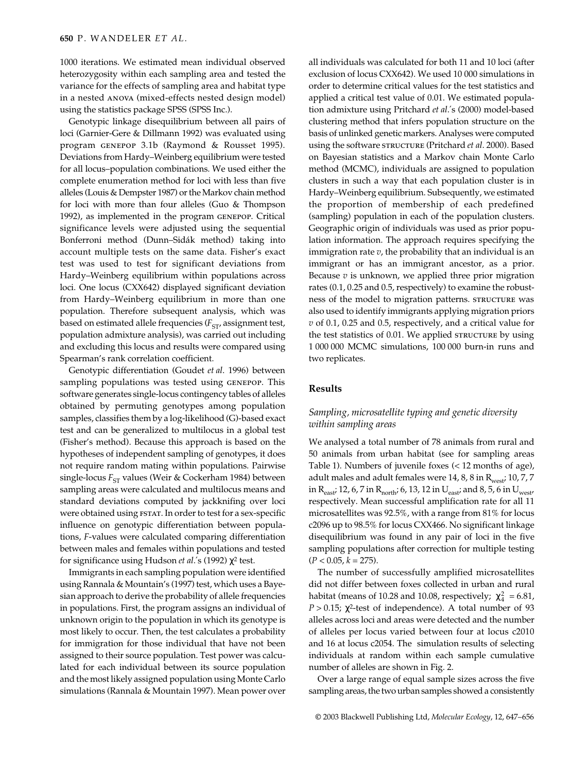1000 iterations. We estimated mean individual observed heterozygosity within each sampling area and tested the variance for the effects of sampling area and habitat type in a nested anova (mixed-effects nested design model) using the statistics package SPSS (SPSS Inc.).

Genotypic linkage disequilibrium between all pairs of loci (Garnier-Gere & Dillmann 1992) was evaluated using program genepop 3.1b (Raymond & Rousset 1995). Deviations from Hardy–Weinberg equilibrium were tested for all locus–population combinations. We used either the complete enumeration method for loci with less than five alleles (Louis & Dempster 1987) or the Markov chain method for loci with more than four alleles (Guo & Thompson 1992), as implemented in the program genepop. Critical significance levels were adjusted using the sequential Bonferroni method (Dunn–Sidák method) taking into account multiple tests on the same data. Fisher's exact test was used to test for significant deviations from Hardy–Weinberg equilibrium within populations across loci. One locus (CXX642) displayed significant deviation from Hardy–Weinberg equilibrium in more than one population. Therefore subsequent analysis, which was based on estimated allele frequencies ( $F<sub>ST</sub>$ , assignment test, population admixture analysis), was carried out including and excluding this locus and results were compared using Spearman's rank correlation coefficient.

Genotypic differentiation (Goudet *et al*. 1996) between sampling populations was tested using GENEPOP. This software generates single-locus contingency tables of alleles obtained by permuting genotypes among population samples, classifies them by a log-likelihood (G)-based exact test and can be generalized to multilocus in a global test (Fisher's method). Because this approach is based on the hypotheses of independent sampling of genotypes, it does not require random mating within populations. Pairwise single-locus *F*<sub>ST</sub> values (Weir & Cockerham 1984) between sampling areas were calculated and multilocus means and standard deviations computed by jackknifing over loci were obtained using fstat. In order to test for a sex-specific influence on genotypic differentiation between populations, *F*-values were calculated comparing differentiation between males and females within populations and tested for significance using Hudson *et al*.′s (1992) χ2 test.

Immigrants in each sampling population were identified using Rannala & Mountain's (1997) test, which uses a Bayesian approach to derive the probability of allele frequencies in populations. First, the program assigns an individual of unknown origin to the population in which its genotype is most likely to occur. Then, the test calculates a probability for immigration for those individual that have not been assigned to their source population. Test power was calculated for each individual between its source population and the most likely assigned population using Monte Carlo simulations (Rannala & Mountain 1997). Mean power over all individuals was calculated for both 11 and 10 loci (after exclusion of locus CXX642). We used 10 000 simulations in order to determine critical values for the test statistics and applied a critical test value of 0.01. We estimated population admixture using Pritchard *et al*.′s (2000) model-based clustering method that infers population structure on the basis of unlinked genetic markers. Analyses were computed using the software structure (Pritchard *et al.* 2000). Based on Bayesian statistics and a Markov chain Monte Carlo method (MCMC), individuals are assigned to population clusters in such a way that each population cluster is in Hardy–Weinberg equilibrium. Subsequently, we estimated the proportion of membership of each predefined (sampling) population in each of the population clusters. Geographic origin of individuals was used as prior population information. The approach requires specifying the immigration rate *v*, the probability that an individual is an immigrant or has an immigrant ancestor, as a prior. Because *v* is unknown, we applied three prior migration rates (0.1, 0.25 and 0.5, respectively) to examine the robustness of the model to migration patterns. STRUCTURE was also used to identify immigrants applying migration priors *v* of 0.1, 0.25 and 0.5, respectively, and a critical value for the test statistics of 0.01. We applied structure by using 1 000 000 MCMC simulations, 100 000 burn-in runs and two replicates.

## **Results**

## *Sampling, microsatellite typing and genetic diversity within sampling areas*

We analysed a total number of 78 animals from rural and 50 animals from urban habitat (see for sampling areas Table 1). Numbers of juvenile foxes (< 12 months of age), adult males and adult females were 14, 8, 8 in  $R_{west}$ ; 10, 7, 7 in  $R_{\text{east}}$ ; 12, 6, 7 in  $R_{\text{north}}$ ; 6, 13, 12 in  $U_{\text{east}}$ ; and 8, 5, 6 in  $U_{\text{west}}$ respectively. Mean successful amplification rate for all 11 microsatellites was 92.5%, with a range from 81% for locus c2096 up to 98.5% for locus CXX466. No significant linkage disequilibrium was found in any pair of loci in the five sampling populations after correction for multiple testing  $(P < 0.05, k = 275)$ .

The number of successfully amplified microsatellites did not differ between foxes collected in urban and rural habitat (means of 10.28 and 10.08, respectively;  $\chi^2_4$  = 6.81,  $P > 0.15$ ; χ<sup>2</sup>-test of independence). A total number of 93 alleles across loci and areas were detected and the number of alleles per locus varied between four at locus c2010 and 16 at locus c2054. The simulation results of selecting individuals at random within each sample cumulative number of alleles are shown in Fig. 2.

Over a large range of equal sample sizes across the five sampling areas, the two urban samples showed a consistently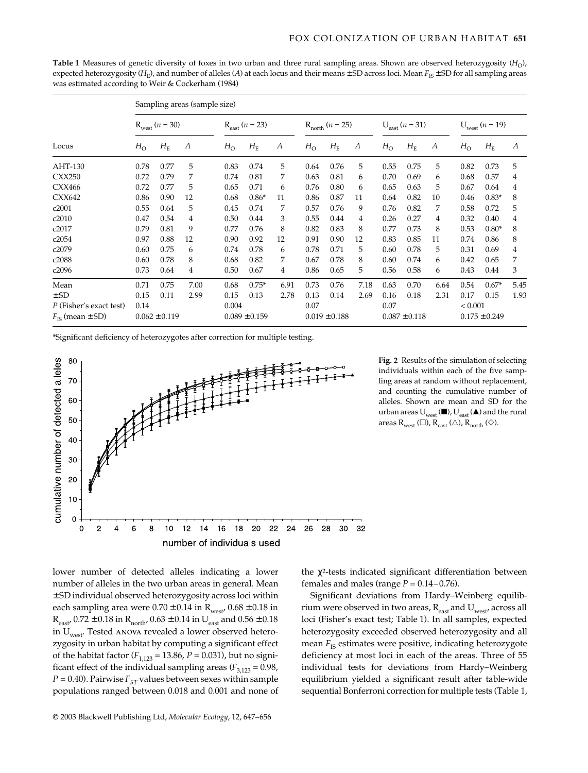**Table 1** Measures of genetic diversity of foxes in two urban and three rural sampling areas. Shown are observed heterozygosity  $(H_0)$ , expected heterozygosity (H<sub>E</sub>), and number of alleles (A) at each locus and their means ± SD across loci. Mean  $F_{IS}$  ± SD for all sampling areas was estimated according to Weir & Cockerham (1984)

| Locus                           | Sampling areas (sample size) |             |                  |             |                                    |      |             |                                     |      |             |                                    |      |             |                           |      |  |
|---------------------------------|------------------------------|-------------|------------------|-------------|------------------------------------|------|-------------|-------------------------------------|------|-------------|------------------------------------|------|-------------|---------------------------|------|--|
|                                 | $R_{west} (n = 30)$          |             |                  |             | $R_{\text{oset}}$ ( <i>n</i> = 23) |      |             | $R_{\text{north}}$ ( <i>n</i> = 25) |      |             | $U_{\text{east}}$ ( <i>n</i> = 31) |      |             | $U_{\text{west}}(n = 19)$ |      |  |
|                                 | $H_{\rm O}$                  | $H_{\rm E}$ | $\boldsymbol{A}$ | $H_{\rm O}$ | $H_{\rm E}$                        | А    | $H_{\rm O}$ | $H_{\rm E}$                         | A    | $H_{\rm O}$ | $H_{\rm E}$                        | A    | $H_{\rm O}$ | $H_{\rm E}$               | A    |  |
| AHT-130                         | 0.78                         | 0.77        | 5                | 0.83        | 0.74                               | 5    | 0.64        | 0.76                                | 5    | 0.55        | 0.75                               | 5    | 0.82        | 0.73                      | 5    |  |
| <b>CXX250</b>                   | 0.72                         | 0.79        | 7                | 0.74        | 0.81                               | 7    | 0.63        | 0.81                                | 6    | 0.70        | 0.69                               | 6    | 0.68        | 0.57                      | 4    |  |
| CXX466                          | 0.72                         | 0.77        | 5                | 0.65        | 0.71                               | 6    | 0.76        | 0.80                                | 6    | 0.65        | 0.63                               | 5    | 0.67        | 0.64                      | 4    |  |
| <b>CXX642</b>                   | 0.86                         | 0.90        | 12               | 0.68        | $0.86*$                            | 11   | 0.86        | 0.87                                | 11   | 0.64        | 0.82                               | 10   | 0.46        | $0.83*$                   | 8    |  |
| c2001                           | 0.55                         | 0.64        | 5                | 0.45        | 0.74                               | 7    | 0.57        | 0.76                                | 9    | 0.76        | 0.82                               | 7    | 0.58        | 0.72                      | 5    |  |
| c2010                           | 0.47                         | 0.54        | 4                | 0.50        | 0.44                               | 3    | 0.55        | 0.44                                | 4    | 0.26        | 0.27                               | 4    | 0.32        | 0.40                      | 4    |  |
| c2017                           | 0.79                         | 0.81        | 9                | 0.77        | 0.76                               | 8    | 0.82        | 0.83                                | 8    | 0.77        | 0.73                               | 8    | 0.53        | $0.80*$                   | 8    |  |
| c2054                           | 0.97                         | 0.88        | 12               | 0.90        | 0.92                               | 12   | 0.91        | 0.90                                | 12   | 0.83        | 0.85                               | 11   | 0.74        | 0.86                      | 8    |  |
| c2079                           | 0.60                         | 0.75        | 6                | 0.74        | 0.78                               | 6    | 0.78        | 0.71                                | 5    | 0.60        | 0.78                               | 5    | 0.31        | 0.69                      | 4    |  |
| c2088                           | 0.60                         | 0.78        | 8                | 0.68        | 0.82                               | 7    | 0.67        | 0.78                                | 8    | 0.60        | 0.74                               | 6    | 0.42        | 0.65                      |      |  |
| c2096                           | 0.73                         | 0.64        | 4                | 0.50        | 0.67                               | 4    | 0.86        | 0.65                                | 5    | 0.56        | 0.58                               | 6    | 0.43        | 0.44                      | 3    |  |
| Mean                            | 0.71                         | 0.75        | 7.00             | 0.68        | $0.75*$                            | 6.91 | 0.73        | 0.76                                | 7.18 | 0.63        | 0.70                               | 6.64 | 0.54        | $0.67*$                   | 5.45 |  |
| $\pm$ SD                        | 0.15                         | 0.11        | 2.99             | 0.15        | 0.13                               | 2.78 | 0.13        | 0.14                                | 2.69 | 0.16        | 0.18                               | 2.31 | 0.17        | 0.15                      | 1.93 |  |
| P (Fisher's exact test)         | 0.14                         |             |                  |             | 0.004                              |      |             | 0.07                                |      |             | 0.07                               |      |             | < 0.001                   |      |  |
| $F_{\text{IS}}$ (mean $\pm$ SD) | $0.062 \pm 0.119$            |             |                  |             | $0.089 \pm 0.159$                  |      |             | $0.019 \pm 0.188$                   |      |             | $0.087 \pm 0.118$                  |      |             | $0.175 \pm 0.249$         |      |  |

\*Significant deficiency of heterozygotes after correction for multiple testing.



**Fig. 2** Results of the simulation of selecting individuals within each of the five sampling areas at random without replacement, and counting the cumulative number of alleles. Shown are mean and SD for the urban areas  $U_{\text{west}}(\blacksquare)$ ,  $U_{\text{east}}(\blacktriangle)$  and the rural areas  $R_{west} (\Box)$ ,  $R_{east} (\triangle)$ ,  $R_{north} (\diamond)$ .

lower number of detected alleles indicating a lower number of alleles in the two urban areas in general. Mean ± SD individual observed heterozygosity across loci within each sampling area were  $0.70\pm0.14$  in  $\rm R_{\rm west}$   $0.68\pm0.18$  in  $R_{\mathrm{east}}$   $0.72\pm0.18$  in  $R_{\mathrm{north}}$   $0.63\pm0.14$  in  $U_{\mathrm{east}}$  and  $0.56\pm0.18$ in  $U_{\text{west}}$ . Tested ANOVA revealed a lower observed heterozygosity in urban habitat by computing a significant effect of the habitat factor ( $F_{1,123}$  = 13.86,  $P = 0.031$ ), but no significant effect of the individual sampling areas  $(F_{3,123} = 0.98)$ ,  $P = 0.40$ ). Pairwise  $F_{ST}$  values between sexes within sample populations ranged between 0.018 and 0.001 and none of the  $\chi^2$ -tests indicated significant differentiation between females and males (range  $P = 0.14 - 0.76$ ).

Significant deviations from Hardy–Weinberg equilibrium were observed in two areas,  $\rm R_{\rm east}$  and  $\rm U_{\rm west}$  across all loci (Fisher's exact test; Table 1). In all samples, expected heterozygosity exceeded observed heterozygosity and all mean  $F_{\text{IS}}$  estimates were positive, indicating heterozygote deficiency at most loci in each of the areas. Three of 55 individual tests for deviations from Hardy–Weinberg equilibrium yielded a significant result after table-wide sequential Bonferroni correction for multiple tests (Table 1,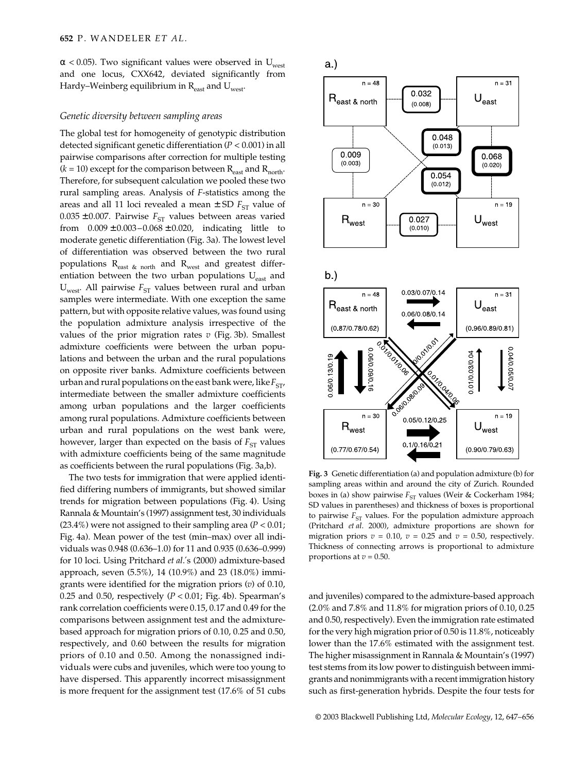$\alpha$  < 0.05). Two significant values were observed in U<sub>west</sub> and one locus, CXX642, deviated significantly from Hardy–Weinberg equilibrium in  $R_{\text{east}}$  and  $U_{\text{west}}$ .

#### *Genetic diversity between sampling areas*

The global test for homogeneity of genotypic distribution detected significant genetic differentiation (*P* < 0.001) in all pairwise comparisons after correction for multiple testing  $(k = 10)$  except for the comparison between  $R_{\text{east}}$  and  $R_{\text{north}}$ . Therefore, for subsequent calculation we pooled these two rural sampling areas. Analysis of *F*-statistics among the areas and all 11 loci revealed a mean  $\pm$  SD  $F_{ST}$  value of  $0.035 \pm 0.007$ . Pairwise  $F_{ST}$  values between areas varied from  $0.009 \pm 0.003 - 0.068 \pm 0.020$ , indicating little to moderate genetic differentiation (Fig. 3a). The lowest level of differentiation was observed between the two rural populations  $R_{\text{east}}$   $_{\text{\& north}}$  and  $R_{\text{west}}$  and greatest differentiation between the two urban populations  $U_{\text{east}}$  and  $U_{\text{west}}$ . All pairwise  $F_{ST}$  values between rural and urban samples were intermediate. With one exception the same pattern, but with opposite relative values, was found using the population admixture analysis irrespective of the values of the prior migration rates *v* (Fig. 3b). Smallest admixture coefficients were between the urban populations and between the urban and the rural populations on opposite river banks. Admixture coefficients between urban and rural populations on the east bank were, like  $F_{ST}$ , intermediate between the smaller admixture coefficients among urban populations and the larger coefficients among rural populations. Admixture coefficients between urban and rural populations on the west bank were, however, larger than expected on the basis of  $F_{ST}$  values with admixture coefficients being of the same magnitude as coefficients between the rural populations (Fig. 3a,b).

The two tests for immigration that were applied identified differing numbers of immigrants, but showed similar trends for migration between populations (Fig. 4). Using Rannala & Mountain's (1997) assignment test, 30 individuals (23.4%) were not assigned to their sampling area (*P* < 0.01; Fig. 4a). Mean power of the test (min–max) over all individuals was 0.948 (0.636–1.0) for 11 and 0.935 (0.636–0.999) for 10 loci. Using Pritchard *et al*.′s (2000) admixture-based approach, seven (5.5%), 14 (10.9%) and 23 (18.0%) immigrants were identified for the migration priors (*v*) of 0.10, 0.25 and 0.50, respectively  $(P < 0.01$ ; Fig. 4b). Spearman's rank correlation coefficients were 0.15, 0.17 and 0.49 for the comparisons between assignment test and the admixturebased approach for migration priors of 0.10, 0.25 and 0.50, respectively, and 0.60 between the results for migration priors of 0.10 and 0.50. Among the nonassigned individuals were cubs and juveniles, which were too young to have dispersed. This apparently incorrect misassignment is more frequent for the assignment test (17.6% of 51 cubs



**Fig. 3** Genetic differentiation (a) and population admixture (b) for sampling areas within and around the city of Zurich. Rounded boxes in (a) show pairwise *F*<sub>ST</sub> values (Weir & Cockerham 1984; SD values in parentheses) and thickness of boxes is proportional to pairwise  $F_{ST}$  values. For the population admixture approach (Pritchard *et al*. 2000), admixture proportions are shown for migration priors  $v = 0.10$ ,  $v = 0.25$  and  $v = 0.50$ , respectively. Thickness of connecting arrows is proportional to admixture proportions at  $v = 0.50$ .

and juveniles) compared to the admixture-based approach (2.0% and 7.8% and 11.8% for migration priors of 0.10, 0.25 and 0.50, respectively). Even the immigration rate estimated for the very high migration prior of 0.50 is 11.8%, noticeably lower than the 17.6% estimated with the assignment test. The higher misassignment in Rannala & Mountain's (1997) test stems from its low power to distinguish between immigrants and nonimmigrants with a recent immigration history such as first-generation hybrids. Despite the four tests for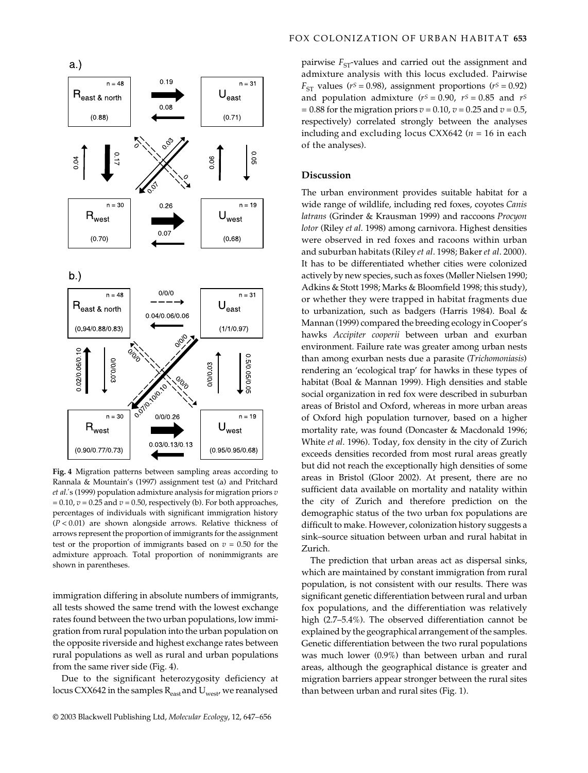

**Fig. 4** Migration patterns between sampling areas according to Rannala & Mountain's (1997) assignment test (a) and Pritchard *et al*.′s (1999) population admixture analysis for migration priors *v*  $= 0.10$ ,  $v = 0.25$  and  $v = 0.50$ , respectively (b). For both approaches, percentages of individuals with significant immigration history (*P* < 0.01) are shown alongside arrows. Relative thickness of arrows represent the proportion of immigrants for the assignment test or the proportion of immigrants based on  $v = 0.50$  for the admixture approach. Total proportion of nonimmigrants are shown in parentheses.

immigration differing in absolute numbers of immigrants, all tests showed the same trend with the lowest exchange rates found between the two urban populations, low immigration from rural population into the urban population on the opposite riverside and highest exchange rates between rural populations as well as rural and urban populations from the same river side (Fig. 4).

Due to the significant heterozygosity deficiency at locus CXX642 in the samples  $R_{\text{east}}$  and  $U_{\text{west}}$ , we reanalysed

pairwise  $F_{ST}$ -values and carried out the assignment and admixture analysis with this locus excluded. Pairwise  $F_{ST}$  values ( $r^s = 0.98$ ), assignment proportions ( $r^s = 0.92$ ) and population admixture  $(r^S = 0.90, r^S = 0.85$  and  $r^S$ = 0.88 for the migration priors *v* = 0.10, *v* = 0.25 and *v* = 0.5, respectively) correlated strongly between the analyses including and excluding locus CXX642 (*n* = 16 in each of the analyses).

## **Discussion**

The urban environment provides suitable habitat for a wide range of wildlife, including red foxes, coyotes *Canis latrans* (Grinder & Krausman 1999) and raccoons *Procyon lotor* (Riley *et al*. 1998) among carnivora. Highest densities were observed in red foxes and racoons within urban and suburban habitats (Riley *et al*. 1998; Baker *et al*. 2000). It has to be differentiated whether cities were colonized actively by new species, such as foxes (Møller Nielsen 1990; Adkins & Stott 1998; Marks & Bloomfield 1998; this study), or whether they were trapped in habitat fragments due to urbanization, such as badgers (Harris 1984). Boal & Mannan (1999) compared the breeding ecology in Cooper's hawks *Accipiter cooperii* between urban and exurban environment. Failure rate was greater among urban nests than among exurban nests due a parasite (*Trichomoniasis*) rendering an 'ecological trap' for hawks in these types of habitat (Boal & Mannan 1999). High densities and stable social organization in red fox were described in suburban areas of Bristol and Oxford, whereas in more urban areas of Oxford high population turnover, based on a higher mortality rate, was found (Doncaster & Macdonald 1996; White *et al*. 1996). Today, fox density in the city of Zurich exceeds densities recorded from most rural areas greatly but did not reach the exceptionally high densities of some areas in Bristol (Gloor 2002). At present, there are no sufficient data available on mortality and natality within the city of Zurich and therefore prediction on the demographic status of the two urban fox populations are difficult to make. However, colonization history suggests a sink–source situation between urban and rural habitat in Zurich.

The prediction that urban areas act as dispersal sinks, which are maintained by constant immigration from rural population, is not consistent with our results. There was significant genetic differentiation between rural and urban fox populations, and the differentiation was relatively high (2.7–5.4%). The observed differentiation cannot be explained by the geographical arrangement of the samples. Genetic differentiation between the two rural populations was much lower (0.9%) than between urban and rural areas, although the geographical distance is greater and migration barriers appear stronger between the rural sites than between urban and rural sites (Fig. 1).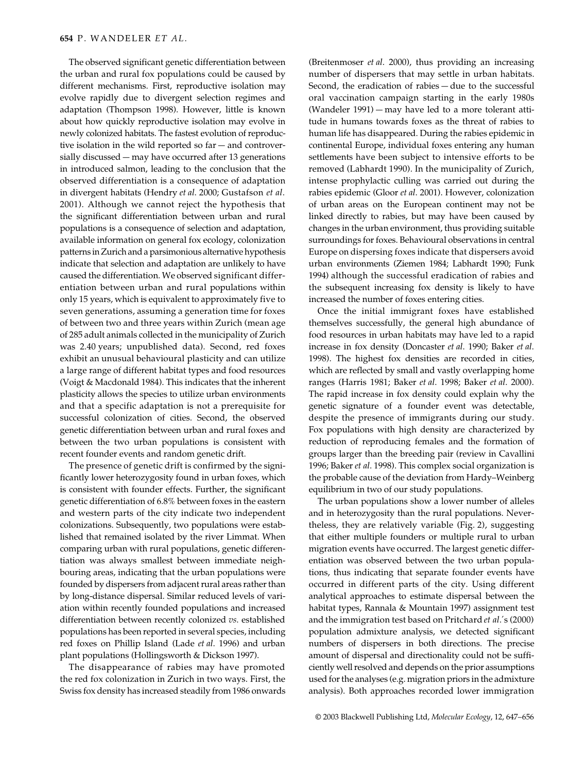The observed significant genetic differentiation between the urban and rural fox populations could be caused by different mechanisms. First, reproductive isolation may evolve rapidly due to divergent selection regimes and adaptation (Thompson 1998). However, little is known about how quickly reproductive isolation may evolve in newly colonized habitats. The fastest evolution of reproductive isolation in the wild reported so far — and controversially discussed — may have occurred after 13 generations in introduced salmon, leading to the conclusion that the observed differentiation is a consequence of adaptation in divergent habitats (Hendry *et al*. 2000; Gustafson *et al*. 2001). Although we cannot reject the hypothesis that the significant differentiation between urban and rural populations is a consequence of selection and adaptation, available information on general fox ecology, colonization patterns in Zurich and a parsimonious alternative hypothesis indicate that selection and adaptation are unlikely to have caused the differentiation. We observed significant differentiation between urban and rural populations within only 15 years, which is equivalent to approximately five to seven generations, assuming a generation time for foxes of between two and three years within Zurich (mean age of 285 adult animals collected in the municipality of Zurich was 2.40 years; unpublished data). Second, red foxes exhibit an unusual behavioural plasticity and can utilize a large range of different habitat types and food resources (Voigt & Macdonald 1984). This indicates that the inherent plasticity allows the species to utilize urban environments and that a specific adaptation is not a prerequisite for successful colonization of cities. Second, the observed genetic differentiation between urban and rural foxes and between the two urban populations is consistent with recent founder events and random genetic drift.

The presence of genetic drift is confirmed by the significantly lower heterozygosity found in urban foxes, which is consistent with founder effects. Further, the significant genetic differentiation of 6.8% between foxes in the eastern and western parts of the city indicate two independent colonizations. Subsequently, two populations were established that remained isolated by the river Limmat. When comparing urban with rural populations, genetic differentiation was always smallest between immediate neighbouring areas, indicating that the urban populations were founded by dispersers from adjacent rural areas rather than by long-distance dispersal. Similar reduced levels of variation within recently founded populations and increased differentiation between recently colonized *vs*. established populations has been reported in several species, including red foxes on Phillip Island (Lade *et al*. 1996) and urban plant populations (Hollingsworth & Dickson 1997).

The disappearance of rabies may have promoted the red fox colonization in Zurich in two ways. First, the Swiss fox density has increased steadily from 1986 onwards

(Breitenmoser *et al*. 2000), thus providing an increasing number of dispersers that may settle in urban habitats. Second, the eradication of rabies — due to the successful oral vaccination campaign starting in the early 1980s (Wandeler 1991) — may have led to a more tolerant attitude in humans towards foxes as the threat of rabies to human life has disappeared. During the rabies epidemic in continental Europe, individual foxes entering any human settlements have been subject to intensive efforts to be removed (Labhardt 1990). In the municipality of Zurich, intense prophylactic culling was carried out during the rabies epidemic (Gloor *et al*. 2001). However, colonization of urban areas on the European continent may not be linked directly to rabies, but may have been caused by changes in the urban environment, thus providing suitable surroundings for foxes. Behavioural observations in central Europe on dispersing foxes indicate that dispersers avoid urban environments (Ziemen 1984; Labhardt 1990; Funk 1994) although the successful eradication of rabies and the subsequent increasing fox density is likely to have increased the number of foxes entering cities.

Once the initial immigrant foxes have established themselves successfully, the general high abundance of food resources in urban habitats may have led to a rapid increase in fox density (Doncaster *et al*. 1990; Baker *et al*. 1998). The highest fox densities are recorded in cities, which are reflected by small and vastly overlapping home ranges (Harris 1981; Baker *et al*. 1998; Baker *et al*. 2000). The rapid increase in fox density could explain why the genetic signature of a founder event was detectable, despite the presence of immigrants during our study. Fox populations with high density are characterized by reduction of reproducing females and the formation of groups larger than the breeding pair (review in Cavallini 1996; Baker *et al*. 1998). This complex social organization is the probable cause of the deviation from Hardy–Weinberg equilibrium in two of our study populations.

The urban populations show a lower number of alleles and in heterozygosity than the rural populations. Nevertheless, they are relatively variable (Fig. 2), suggesting that either multiple founders or multiple rural to urban migration events have occurred. The largest genetic differentiation was observed between the two urban populations, thus indicating that separate founder events have occurred in different parts of the city. Using different analytical approaches to estimate dispersal between the habitat types, Rannala & Mountain 1997) assignment test and the immigration test based on Pritchard *et al*.′s (2000) population admixture analysis, we detected significant numbers of dispersers in both directions. The precise amount of dispersal and directionality could not be sufficiently well resolved and depends on the prior assumptions used for the analyses (e.g. migration priors in the admixture analysis). Both approaches recorded lower immigration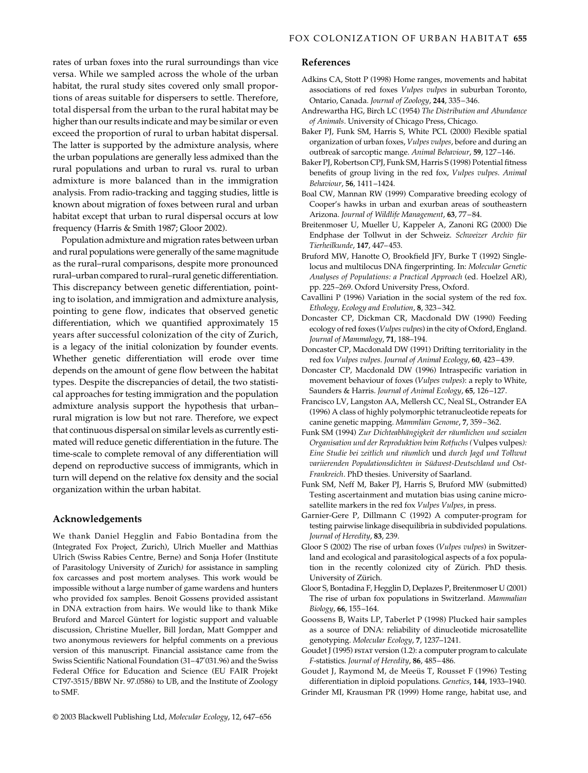rates of urban foxes into the rural surroundings than vice versa. While we sampled across the whole of the urban habitat, the rural study sites covered only small proportions of areas suitable for dispersers to settle. Therefore, total dispersal from the urban to the rural habitat may be higher than our results indicate and may be similar or even exceed the proportion of rural to urban habitat dispersal. The latter is supported by the admixture analysis, where the urban populations are generally less admixed than the rural populations and urban to rural vs. rural to urban admixture is more balanced than in the immigration analysis. From radio-tracking and tagging studies, little is known about migration of foxes between rural and urban habitat except that urban to rural dispersal occurs at low frequency (Harris & Smith 1987; Gloor 2002).

Population admixture and migration rates between urban and rural populations were generally of the same magnitude as the rural–rural comparisons, despite more pronounced rural–urban compared to rural–rural genetic differentiation. This discrepancy between genetic differentiation, pointing to isolation, and immigration and admixture analysis, pointing to gene flow, indicates that observed genetic differentiation, which we quantified approximately 15 years after successful colonization of the city of Zurich, is a legacy of the initial colonization by founder events. Whether genetic differentiation will erode over time depends on the amount of gene flow between the habitat types. Despite the discrepancies of detail, the two statistical approaches for testing immigration and the population admixture analysis support the hypothesis that urban– rural migration is low but not rare. Therefore, we expect that continuous dispersal on similar levels as currently estimated will reduce genetic differentiation in the future. The time-scale to complete removal of any differentiation will depend on reproductive success of immigrants, which in turn will depend on the relative fox density and the social organization within the urban habitat.

#### **Acknowledgements**

We thank Daniel Hegglin and Fabio Bontadina from the (Integrated Fox Project, Zurich), Ulrich Mueller and Matthias Ulrich (Swiss Rabies Centre, Berne) and Sonja Hofer (Institute of Parasitology University of Zurich*)* for assistance in sampling fox carcasses and post mortem analyses. This work would be impossible without a large number of game wardens and hunters who provided fox samples. Benoit Gossens provided assistant in DNA extraction from hairs. We would like to thank Mike Bruford and Marcel Güntert for logistic support and valuable discussion, Christine Mueller, Bill Jordan, Matt Gompper and two anonymous reviewers for helpful comments on a previous version of this manuscript. Financial assistance came from the Swiss Scientific National Foundation (31–47′031.96) and the Swiss Federal Office for Education and Science (EU FAIR Projekt CT97-3515/BBW Nr. 97.0586) to UB, and the Institute of Zoology to SMF.

## © 2003 Blackwell Publishing Ltd, *Molecular Ecology*, 12, 647–656

#### **References**

- Adkins CA, Stott P (1998) Home ranges, movements and habitat associations of red foxes *Vulpes vulpes* in suburban Toronto, Ontario, Canada. *Journal of Zoology*, **244**, 335–346.
- Andrewartha HG, Birch LC (1954) *The Distribution and Abundance of Animals*. University of Chicago Press, Chicago.
- Baker PJ, Funk SM, Harris S, White PCL (2000) Flexible spatial organization of urban foxes, *Vulpes vulpes*, before and during an outbreak of sarcoptic mange. *Animal Behaviour*, **59**, 127–146.
- Baker PJ, Robertson CPJ, Funk SM, Harris S (1998) Potential fitness benefits of group living in the red fox, *Vulpes vulpes*. *Animal Behaviour*, **56**, 1411–1424.
- Boal CW, Mannan RW (1999) Comparative breeding ecology of Cooper's hawks in urban and exurban areas of southeastern Arizona. *Journal of Wildlife Management*, **63**, 77–84.
- Breitenmoser U, Mueller U, Kappeler A, Zanoni RG (2000) Die Endphase der Tollwut in der Schweiz. *Schweizer Archiv für Tierheilkunde*, **147**, 447–453.
- Bruford MW, Hanotte O, Brookfield JFY, Burke T (1992) Singlelocus and multilocus DNA fingerprinting. In: *Molecular Genetic Analyses of Populations: a Practical Approach* (ed. Hoelzel AR), pp. 225–269. Oxford University Press, Oxford.
- Cavallini P (1996) Variation in the social system of the red fox. *Ethology, Ecology and Evolution*, **8**, 323–342.
- Doncaster CP, Dickman CR, Macdonald DW (1990) Feeding ecology of red foxes (*Vulpes vulpes*) in the city of Oxford, England. *Journal of Mammalogy*, **71**, 188–194.
- Doncaster CP, Macdonald DW (1991) Drifting territoriality in the red fox *Vulpes vulpes*. *Journal of Animal Ecology*, **60**, 423–439.
- Doncaster CP, Macdonald DW (1996) Intraspecific variation in movement behaviour of foxes (*Vulpes vulpes*): a reply to White, Saunders & Harris. *Journal of Animal Ecology*, **65**, 126–127.
- Francisco LV, Langston AA, Mellersh CC, Neal SL, Ostrander EA (1996) A class of highly polymorphic tetranucleotide repeats for canine genetic mapping. *Mammlian Genome*, **7**, 359–362.
- Funk SM (1994) *Zur Dichteabhängigkeit der räumlichen und sozialen Organisation und der Reproduktion beim Rotfuchs (*Vulpes vulpes*): Eine Studie bei zeitlich und räumlich* und *durch Jagd und Tollwut variierenden Populationsdichten in Südwest-Deutschland und Ost-Frankreich*. PhD thesies. University of Saarland.
- Funk SM, Neff M, Baker PJ, Harris S, Bruford MW (submitted) Testing ascertainment and mutation bias using canine microsatellite markers in the red fox *Vulpes Vulpes*, in press.
- Garnier-Gere P, Dillmann C (1992) A computer-program for testing pairwise linkage disequilibria in subdivided populations. *Journal of Heredity*, **83**, 239.
- Gloor S (2002) The rise of urban foxes (*Vulpes vulpes*) in Switzerland and ecological and parasitological aspects of a fox population in the recently colonized city of Zürich. PhD thesis. University of Zürich.
- Gloor S, Bontadina F, Hegglin D, Deplazes P, Breitenmoser U (2001) The rise of urban fox populations in Switzerland. *Mammalian Biology*, **66**, 155–164.
- Goossens B, Waits LP, Taberlet P (1998) Plucked hair samples as a source of DNA: reliability of dinucleotide microsatellite genotyping. *Molecular Ecology*, **7**, 1237–1241.
- Goudet J (1995) FSTAT version (1.2): a computer program to calculate *F*-statistics. *Journal of Heredity*, **86**, 485–486.
- Goudet J, Raymond M, de Meeüs T, Rousset F (1996) Testing differentiation in diploid populations. *Genetics*, **144**, 1933–1940.
- Grinder MI, Krausman PR (1999) Home range, habitat use, and